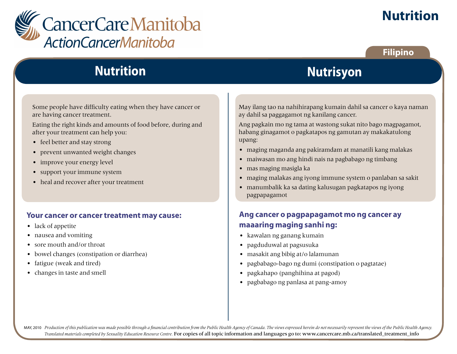

# **Nutrition**

### **Filipino**

# **Nutrition**

Some people have difficulty eating when they have cancer or are having cancer treatment.

Eating the right kinds and amounts of food before, during and after your treatment can help you:

- feel better and stay strong
- prevent unwanted weight changes
- improve your energy level
- support your immune system
- heal and recover after your treatment

#### **Your cancer or cancer treatment may cause:**

- lack of appetite
- nausea and vomiting
- sore mouth and/or throat
- bowel changes (constipation or diarrhea)
- fatigue (weak and tired)
- changes in taste and smell

May ilang tao na nahihirapang kumain dahil sa cancer o kaya naman ay dahil sa paggagamot ng kanilang cancer.

**Nutrisyon**

Ang pagkain mo ng tama at wastong sukat nito bago magpagamot, habang ginagamot o pagkatapos ng gamutan ay makakatulong upang:

- maging maganda ang pakiramdam at manatili kang malakas
- maiwasan mo ang hindi nais na pagbabago ng timbang
- mas maging masigla ka
- maging malakas ang iyong immune system o panlaban sa sakit
- manumbalik ka sa dating kalusugan pagkatapos ng iyong pagpapagamot

# **Ang cancer o pagpapagamot mo ng cancer ay maaaring maging sanhi ng:**

- kawalan ng ganang kumain
- pagduduwal at pagsusuka
- masakit ang bibig at/o lalamunan
- pagbabago-bago ng dumi (constipation o pagtatae)
- pagkahapo (panghihina at pagod)
- pagbabago ng panlasa at pang-amoy

MAY, 2010 Production of this publication was made possible through a financial contribution from the Public Health Agency of Canada. The views expressed herein do not necessarily represent the views of the Public Health Ag *Translated materials completed by Sexuality Education Resource Centre.* For copies of all topic information and languages go to: www.cancercare.mb.ca/translated\_treatment\_info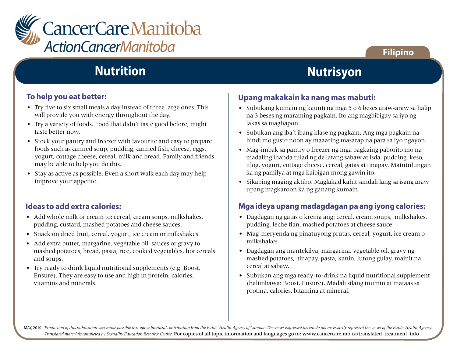

# **Filipino**

# **Nutrition**

#### **To help you eat better:**

- Try five to six small meals a day instead of three large ones. This will provide you with energy throughout the day.
- Try a variety of foods. Food that didn't taste good before, might taste better now.
- Stock your pantry and freezer with favourite and easy to prepare foods such as canned soup, pudding, canned fish, cheese, eggs, yogurt, cottage cheese, cereal, milk and bread. Family and friends may be able to help you do this.
- Stay as active as possible. Even a short walk each day may help improve your appetite.

### **Ideas to add extra calories:**

- Add whole milk or cream to: cereal, cream soups, milkshakes, pudding, custard, mashed potatoes and cheese sauces.
- Snack on dried fruit, cereal, yogurt, ice cream or milkshakes.
- Add extra butter, margarine, vegetable oil, sauces or gravy to mashed potatoes, bread, pasta, rice, cooked vegetables, hot cereals and soups.
- Try ready to drink liquid nutritional supplements (e.g. Boost, Ensure). They are easy to use and high in protein, calories, vitamins and minerals.

# **Nutrisyon**

#### **Upang makakain ka nang mas mabuti:**

- Subukang kumain ng kaunti ng mga 5 o 6 beses araw-araw sa halip na 3 beses ng maraming pagkain. Ito ang magbibigay sa iyo ng lakas sa maghapon.
- Subukan ang iba't ibang klase ng pagkain. Ang mga pagkain na hindi mo gusto noon ay maaaring masarap na para sa iyo ngayon.
- Mag-imbak sa pantry o freezer ng mga pagkaing paborito mo na madaling ihanda tulad ng de latang sabaw at isda, pudding, keso, itlog, yogurt, cottage cheese, cereal, gatas at tinapay. Matutulungan ka ng pamilya at mga kaibigan mong gawin ito.
- Sikaping maging aktibo. Maglakad kahit sandali lang sa isang araw upang magkaroon ka ng ganang kumain.

# **Mga ideya upang madagdagan pa ang iyong calories:**

- Dagdagan ng gatas o krema ang: cereal, cream soups, milkshakes, pudding, leche flan, mashed potatoes at cheese sauce.
- Mag-meryenda ng pinatuyong prutas, cereal, yogurt, ice cream o milkshakes.
- Dagdagan ang mantekilya, margarina, vegetable oil, gravy ng mashed potatoes, tinapay, pasta, kanin, lutong gulay, mainit na cereal at sabaw.
- Subukan ang mga ready-to-drink na liquid nutritional supplement (halimbawa: Boost, Ensure). Madali silang inumin at mataas sa protina, calories, bitamina at mineral.

MAY, 2010 Production of this publication was made possible through a financial contribution from the Public Health Agency of Canada. The views expressed herein do not necessarily represent the views of the Public Health Ag *Translated materials completed by Sexuality Education Resource Centre.* For copies of all topic information and languages go to: www.cancercare.mb.ca/translated\_treatment\_info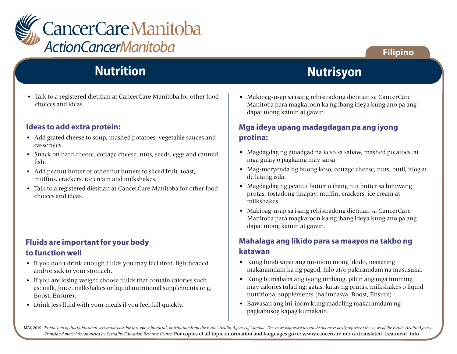

# **Nutrition**

• Talk to a registered dietitian at CancerCare Manitoba for other food choices and ideas.

#### **Ideas to add extra protein:**

- Add grated cheese to soup, mashed potatoes, vegetable sauces and casseroles.
- Snack on hard cheese, cottage cheese, nuts, seeds, eggs and canned fish.
- Add peanut butter or other nut butters to sliced fruit, toast, muffins, crackers, ice cream and milkshakes.
- Talk to a registered dietitian at CancerCare Manitoba for other food choices and ideas.

# **Fluids are important for your body to function well**

- If you don't drink enough fluids you may feel tired, lightheaded and/or sick to your stomach.
- If you are losing weight choose fluids that contain calories such as: milk, juice, milkshakes or liquid nutritional supplements (e.g. Boost, Ensure).
- Drink less fluid with your meals if you feel full quickly.

#### • Makipag-usap sa isang rehistradong dietitian sa CancerCare Manitoba para magkaroon ka ng ibang ideya kung ano pa ang dapat mong kainin at gawin.

**Nutrisyon**

### **Mga ideya upang madagdagan pa ang iyong protina:**

- Magdagdag ng ginadgad na keso sa sabaw, mashed potatoes, at mga gulay o pagkaing may sarsa.
- Mag-meryenda ng buong keso, cottage cheese, nuts, butil, itlog at de latang isda.
- Magdagdag ng peanut butter o ibang nut butter sa hiniwang prutas, tostadong tinapay, muffin, crackers, ice cream at milkshakes.
- Makipag-usap sa isang rehistradong dietitian sa CancerCare Manitoba para magkaroon ka ng ibang ideya kung ano pa ang dapat mong kainin at gawin.

### **Mahalaga ang likido para sa maayos na takbo ng katawan**

- Kung hindi sapat ang ini-inom mong likido, maaaring makaramdam ka ng pagod, hilo at/o pakiramdam na masusuka.
- Kung bumababa ang iyong timbang, piliin ang mga inuming may calories tulad ng: gatas, katas ng prutas, milkshakes o liquid nutritional supplements (halimbawa: Boost, Ensure).
- Bawasan ang ini-inom kung madaling makaramdam ng pagkabusog kapag kumakain.

MAY, 2010 Production of this publication was made possible through a financial contribution from the Public Health Agency of Canada. The views expressed herein do not necessarily represent the views of the Public Health Ag *Translated materials completed by Sexuality Education Resource Centre.* For copies of all topic information and languages go to: www.cancercare.mb.ca/translated\_treatment\_info

# **Filipino**